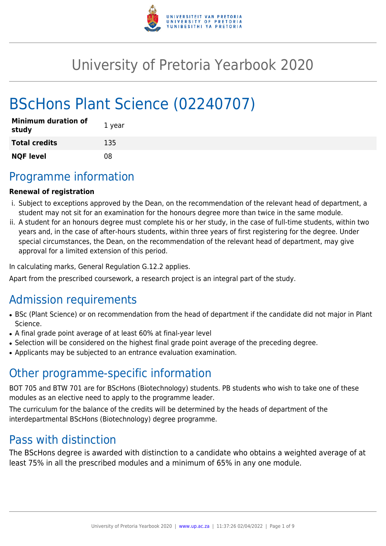

# University of Pretoria Yearbook 2020

# BScHons Plant Science (02240707)

| <b>Minimum duration of</b><br>study | 1 year |
|-------------------------------------|--------|
| <b>Total credits</b>                | 135    |
| <b>NQF level</b>                    | 08     |

# Programme information

# **Renewal of registration**

- i. Subject to exceptions approved by the Dean, on the recommendation of the relevant head of department, a student may not sit for an examination for the honours degree more than twice in the same module.
- ii. A student for an honours degree must complete his or her study, in the case of full-time students, within two years and, in the case of after-hours students, within three years of first registering for the degree. Under special circumstances, the Dean, on the recommendation of the relevant head of department, may give approval for a limited extension of this period.

In calculating marks, General Regulation G.12.2 applies.

Apart from the prescribed coursework, a research project is an integral part of the study.

# Admission requirements

- BSc (Plant Science) or on recommendation from the head of department if the candidate did not major in Plant Science.
- A final grade point average of at least 60% at final-year level
- Selection will be considered on the highest final grade point average of the preceding degree.
- Applicants may be subjected to an entrance evaluation examination.

# Other programme-specific information

BOT 705 and BTW 701 are for BScHons (Biotechnology) students. PB students who wish to take one of these modules as an elective need to apply to the programme leader.

The curriculum for the balance of the credits will be determined by the heads of department of the interdepartmental BScHons (Biotechnology) degree programme.

# Pass with distinction

The BScHons degree is awarded with distinction to a candidate who obtains a weighted average of at least 75% in all the prescribed modules and a minimum of 65% in any one module.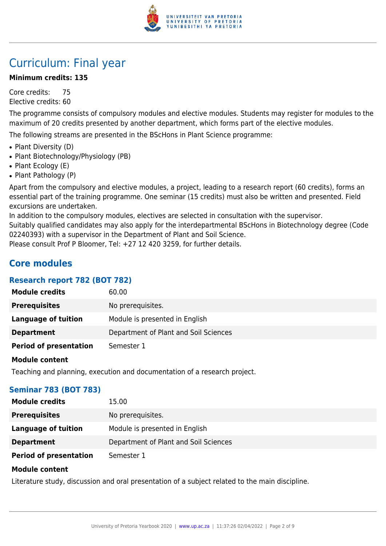

# Curriculum: Final year

### **Minimum credits: 135**

Core credits: 75 Elective credits: 60

The programme consists of compulsory modules and elective modules. Students may register for modules to the maximum of 20 credits presented by another department, which forms part of the elective modules.

The following streams are presented in the BScHons in Plant Science programme:

- Plant Diversity (D)
- Plant Biotechnology/Physiology (PB)
- Plant Ecology (E)
- Plant Pathology (P)

Apart from the compulsory and elective modules, a project, leading to a research report (60 credits), forms an essential part of the training programme. One seminar (15 credits) must also be written and presented. Field excursions are undertaken.

In addition to the compulsory modules, electives are selected in consultation with the supervisor.

Suitably qualified candidates may also apply for the interdepartmental BScHons in Biotechnology degree (Code 02240393) with a supervisor in the Department of Plant and Soil Science.

Please consult Prof P Bloomer, Tel: +27 12 420 3259, for further details.

# **Core modules**

# **Research report 782 (BOT 782)**

| <b>Module credits</b>         | 60.00                                 |
|-------------------------------|---------------------------------------|
| <b>Prerequisites</b>          | No prerequisites.                     |
| <b>Language of tuition</b>    | Module is presented in English        |
| <b>Department</b>             | Department of Plant and Soil Sciences |
| <b>Period of presentation</b> | Semester 1                            |

#### **Module content**

Teaching and planning, execution and documentation of a research project.

#### **Seminar 783 (BOT 783)**

| <b>Module credits</b>         | 15.00                                 |
|-------------------------------|---------------------------------------|
| <b>Prerequisites</b>          | No prerequisites.                     |
| Language of tuition           | Module is presented in English        |
| <b>Department</b>             | Department of Plant and Soil Sciences |
| <b>Period of presentation</b> | Semester 1                            |

#### **Module content**

Literature study, discussion and oral presentation of a subject related to the main discipline.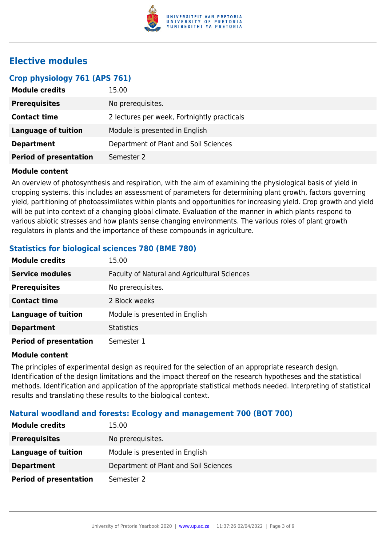

# **Elective modules**

### **Crop physiology 761 (APS 761)**

| <b>Module credits</b>         | 15.00                                       |
|-------------------------------|---------------------------------------------|
| <b>Prerequisites</b>          | No prerequisites.                           |
| <b>Contact time</b>           | 2 lectures per week, Fortnightly practicals |
| Language of tuition           | Module is presented in English              |
| <b>Department</b>             | Department of Plant and Soil Sciences       |
| <b>Period of presentation</b> | Semester 2                                  |

#### **Module content**

An overview of photosynthesis and respiration, with the aim of examining the physiological basis of yield in cropping systems. this includes an assessment of parameters for determining plant growth, factors governing yield, partitioning of photoassimilates within plants and opportunities for increasing yield. Crop growth and yield will be put into context of a changing global climate. Evaluation of the manner in which plants respond to various abiotic stresses and how plants sense changing environments. The various roles of plant growth regulators in plants and the importance of these compounds in agriculture.

# **Statistics for biological sciences 780 (BME 780)**

| <b>Module credits</b>         | 15.00                                        |
|-------------------------------|----------------------------------------------|
| <b>Service modules</b>        | Faculty of Natural and Agricultural Sciences |
| <b>Prerequisites</b>          | No prerequisites.                            |
| <b>Contact time</b>           | 2 Block weeks                                |
| <b>Language of tuition</b>    | Module is presented in English               |
| <b>Department</b>             | <b>Statistics</b>                            |
| <b>Period of presentation</b> | Semester 1                                   |

#### **Module content**

The principles of experimental design as required for the selection of an appropriate research design. Identification of the design limitations and the impact thereof on the research hypotheses and the statistical methods. Identification and application of the appropriate statistical methods needed. Interpreting of statistical results and translating these results to the biological context.

# **Natural woodland and forests: Ecology and management 700 (BOT 700)**

| <b>Module credits</b>         | 15.00                                 |
|-------------------------------|---------------------------------------|
| <b>Prerequisites</b>          | No prerequisites.                     |
| Language of tuition           | Module is presented in English        |
| <b>Department</b>             | Department of Plant and Soil Sciences |
| <b>Period of presentation</b> | Semester 2                            |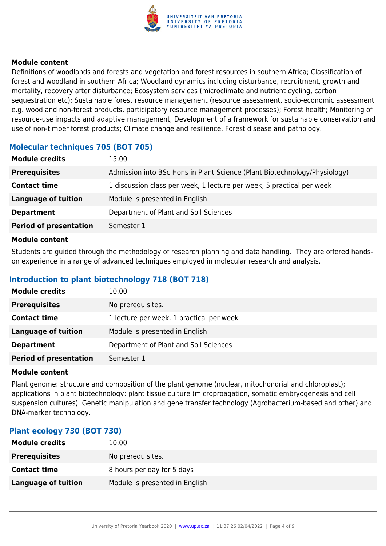

Definitions of woodlands and forests and vegetation and forest resources in southern Africa; Classification of forest and woodland in southern Africa; Woodland dynamics including disturbance, recruitment, growth and mortality, recovery after disturbance; Ecosystem services (microclimate and nutrient cycling, carbon sequestration etc); Sustainable forest resource management (resource assessment, socio-economic assessment e.g. wood and non-forest products, participatory resource management processes); Forest health; Monitoring of resource-use impacts and adaptive management; Development of a framework for sustainable conservation and use of non-timber forest products; Climate change and resilience. Forest disease and pathology.

# **Molecular techniques 705 (BOT 705)**

| <b>Module credits</b>         | 15.00                                                                     |
|-------------------------------|---------------------------------------------------------------------------|
| <b>Prerequisites</b>          | Admission into BSc Hons in Plant Science (Plant Biotechnology/Physiology) |
| <b>Contact time</b>           | 1 discussion class per week, 1 lecture per week, 5 practical per week     |
| <b>Language of tuition</b>    | Module is presented in English                                            |
| <b>Department</b>             | Department of Plant and Soil Sciences                                     |
| <b>Period of presentation</b> | Semester 1                                                                |

#### **Module content**

Students are guided through the methodology of research planning and data handling. They are offered handson experience in a range of advanced techniques employed in molecular research and analysis.

# **Introduction to plant biotechnology 718 (BOT 718)**

| <b>Module credits</b>         | 10.00                                    |
|-------------------------------|------------------------------------------|
| <b>Prerequisites</b>          | No prerequisites.                        |
| <b>Contact time</b>           | 1 lecture per week, 1 practical per week |
| Language of tuition           | Module is presented in English           |
| <b>Department</b>             | Department of Plant and Soil Sciences    |
| <b>Period of presentation</b> | Semester 1                               |

#### **Module content**

Plant genome: structure and composition of the plant genome (nuclear, mitochondrial and chloroplast); applications in plant biotechnology: plant tissue culture (microproagation, somatic embryogenesis and cell suspension cultures). Genetic manipulation and gene transfer technology (Agrobacterium-based and other) and DNA-marker technology.

# **Plant ecology 730 (BOT 730)**

| <b>Module credits</b> | 10.00                          |
|-----------------------|--------------------------------|
| <b>Prerequisites</b>  | No prerequisites.              |
| <b>Contact time</b>   | 8 hours per day for 5 days     |
| Language of tuition   | Module is presented in English |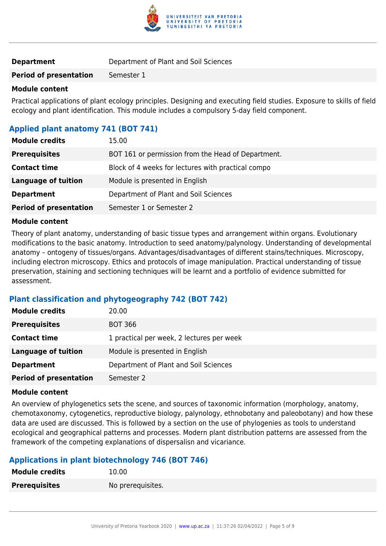

**Period of presentation** Semester 1

### **Module content**

Practical applications of plant ecology principles. Designing and executing field studies. Exposure to skills of field ecology and plant identification. This module includes a compulsory 5-day field component.

# **Applied plant anatomy 741 (BOT 741)**

| <b>Module credits</b>         | 15.00                                              |
|-------------------------------|----------------------------------------------------|
| <b>Prerequisites</b>          | BOT 161 or permission from the Head of Department. |
| <b>Contact time</b>           | Block of 4 weeks for lectures with practical compo |
| Language of tuition           | Module is presented in English                     |
| <b>Department</b>             | Department of Plant and Soil Sciences              |
| <b>Period of presentation</b> | Semester 1 or Semester 2                           |

#### **Module content**

Theory of plant anatomy, understanding of basic tissue types and arrangement within organs. Evolutionary modifications to the basic anatomy. Introduction to seed anatomy/palynology. Understanding of developmental anatomy – ontogeny of tissues/organs. Advantages/disadvantages of different stains/techniques. Microscopy, including electron microscopy. Ethics and protocols of image manipulation. Practical understanding of tissue preservation, staining and sectioning techniques will be learnt and a portfolio of evidence submitted for assessment.

# **Plant classification and phytogeography 742 (BOT 742)**

| <b>Module credits</b>         | 20.00                                     |
|-------------------------------|-------------------------------------------|
| <b>Prerequisites</b>          | <b>BOT 366</b>                            |
| <b>Contact time</b>           | 1 practical per week, 2 lectures per week |
| <b>Language of tuition</b>    | Module is presented in English            |
| <b>Department</b>             | Department of Plant and Soil Sciences     |
| <b>Period of presentation</b> | Semester 2                                |

#### **Module content**

An overview of phylogenetics sets the scene, and sources of taxonomic information (morphology, anatomy, chemotaxonomy, cytogenetics, reproductive biology, palynology, ethnobotany and paleobotany) and how these data are used are discussed. This is followed by a section on the use of phylogenies as tools to understand ecological and geographical patterns and processes. Modern plant distribution patterns are assessed from the framework of the competing explanations of dispersalisn and vicariance.

# **Applications in plant biotechnology 746 (BOT 746)**

| <b>Module credits</b> | 10.00             |
|-----------------------|-------------------|
| <b>Prerequisites</b>  | No prerequisites. |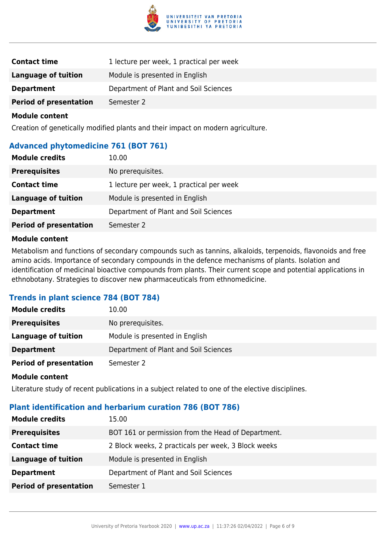

| <b>Contact time</b>           | 1 lecture per week, 1 practical per week |
|-------------------------------|------------------------------------------|
| Language of tuition           | Module is presented in English           |
| <b>Department</b>             | Department of Plant and Soil Sciences    |
| <b>Period of presentation</b> | Semester 2                               |

Creation of genetically modified plants and their impact on modern agriculture.

# **Advanced phytomedicine 761 (BOT 761)**

| <b>Module credits</b>         | 10.00                                    |
|-------------------------------|------------------------------------------|
| <b>Prerequisites</b>          | No prerequisites.                        |
| <b>Contact time</b>           | 1 lecture per week, 1 practical per week |
| Language of tuition           | Module is presented in English           |
| <b>Department</b>             | Department of Plant and Soil Sciences    |
| <b>Period of presentation</b> | Semester 2                               |

#### **Module content**

Metabolism and functions of secondary compounds such as tannins, alkaloids, terpenoids, flavonoids and free amino acids. Importance of secondary compounds in the defence mechanisms of plants. Isolation and identification of medicinal bioactive compounds from plants. Their current scope and potential applications in ethnobotany. Strategies to discover new pharmaceuticals from ethnomedicine.

# **Trends in plant science 784 (BOT 784)**

| <b>Module credits</b>         | 10.00                                 |
|-------------------------------|---------------------------------------|
| <b>Prerequisites</b>          | No prerequisites.                     |
| Language of tuition           | Module is presented in English        |
| <b>Department</b>             | Department of Plant and Soil Sciences |
| <b>Period of presentation</b> | Semester 2                            |

#### **Module content**

Literature study of recent publications in a subject related to one of the elective disciplines.

#### **Plant identification and herbarium curation 786 (BOT 786)**

| <b>Module credits</b>         | 15.00                                               |
|-------------------------------|-----------------------------------------------------|
| <b>Prerequisites</b>          | BOT 161 or permission from the Head of Department.  |
| <b>Contact time</b>           | 2 Block weeks, 2 practicals per week, 3 Block weeks |
| <b>Language of tuition</b>    | Module is presented in English                      |
| <b>Department</b>             | Department of Plant and Soil Sciences               |
| <b>Period of presentation</b> | Semester 1                                          |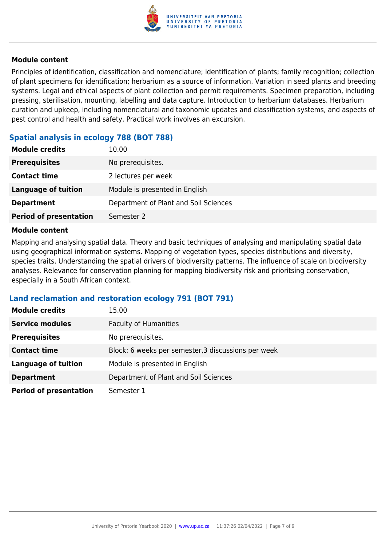

Principles of identification, classification and nomenclature; identification of plants; family recognition; collection of plant specimens for identification; herbarium as a source of information. Variation in seed plants and breeding systems. Legal and ethical aspects of plant collection and permit requirements. Specimen preparation, including pressing, sterilisation, mounting, labelling and data capture. Introduction to herbarium databases. Herbarium curation and upkeep, including nomenclatural and taxonomic updates and classification systems, and aspects of pest control and health and safety. Practical work involves an excursion.

# **Spatial analysis in ecology 788 (BOT 788)**

| 10.00                                 |
|---------------------------------------|
| No prerequisites.                     |
| 2 lectures per week                   |
| Module is presented in English        |
| Department of Plant and Soil Sciences |
| Semester 2                            |
|                                       |

#### **Module content**

Mapping and analysing spatial data. Theory and basic techniques of analysing and manipulating spatial data using geographical information systems. Mapping of vegetation types, species distributions and diversity, species traits. Understanding the spatial drivers of biodiversity patterns. The influence of scale on biodiversity analyses. Relevance for conservation planning for mapping biodiversity risk and prioritsing conservation, especially in a South African context.

#### **Land reclamation and restoration ecology 791 (BOT 791)**

| <b>Module credits</b>         | 15.00                                               |
|-------------------------------|-----------------------------------------------------|
| <b>Service modules</b>        | <b>Faculty of Humanities</b>                        |
| <b>Prerequisites</b>          | No prerequisites.                                   |
| <b>Contact time</b>           | Block: 6 weeks per semester, 3 discussions per week |
| <b>Language of tuition</b>    | Module is presented in English                      |
| <b>Department</b>             | Department of Plant and Soil Sciences               |
| <b>Period of presentation</b> | Semester 1                                          |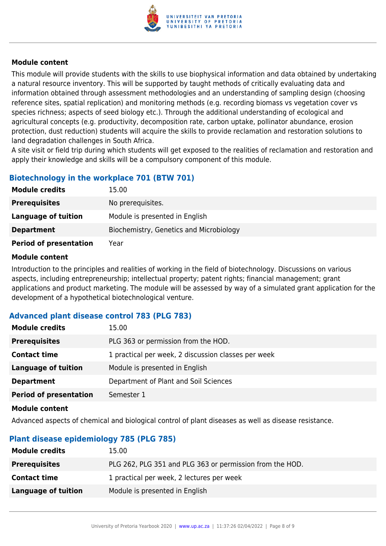

This module will provide students with the skills to use biophysical information and data obtained by undertaking a natural resource inventory. This will be supported by taught methods of critically evaluating data and information obtained through assessment methodologies and an understanding of sampling design (choosing reference sites, spatial replication) and monitoring methods (e.g. recording biomass vs vegetation cover vs species richness; aspects of seed biology etc.). Through the additional understanding of ecological and agricultural concepts (e.g. productivity, decomposition rate, carbon uptake, pollinator abundance, erosion protection, dust reduction) students will acquire the skills to provide reclamation and restoration solutions to land degradation challenges in South Africa.

A site visit or field trip during which students will get exposed to the realities of reclamation and restoration and apply their knowledge and skills will be a compulsory component of this module.

# **Biotechnology in the workplace 701 (BTW 701)**

| <b>Module credits</b>         | 15.00                                   |
|-------------------------------|-----------------------------------------|
| <b>Prerequisites</b>          | No prerequisites.                       |
| Language of tuition           | Module is presented in English          |
| <b>Department</b>             | Biochemistry, Genetics and Microbiology |
| <b>Period of presentation</b> | Year                                    |

#### **Module content**

Introduction to the principles and realities of working in the field of biotechnology. Discussions on various aspects, including entrepreneurship; intellectual property; patent rights; financial management; grant applications and product marketing. The module will be assessed by way of a simulated grant application for the development of a hypothetical biotechnological venture.

# **Advanced plant disease control 783 (PLG 783)**

| <b>Module credits</b>         | 15.00                                               |
|-------------------------------|-----------------------------------------------------|
| <b>Prerequisites</b>          | PLG 363 or permission from the HOD.                 |
| <b>Contact time</b>           | 1 practical per week, 2 discussion classes per week |
| Language of tuition           | Module is presented in English                      |
| <b>Department</b>             | Department of Plant and Soil Sciences               |
| <b>Period of presentation</b> | Semester 1                                          |

#### **Module content**

Advanced aspects of chemical and biological control of plant diseases as well as disease resistance.

# **Plant disease epidemiology 785 (PLG 785)**

| <b>Module credits</b> | 15.00                                                    |
|-----------------------|----------------------------------------------------------|
| <b>Prerequisites</b>  | PLG 262, PLG 351 and PLG 363 or permission from the HOD. |
| <b>Contact time</b>   | 1 practical per week, 2 lectures per week                |
| Language of tuition   | Module is presented in English                           |